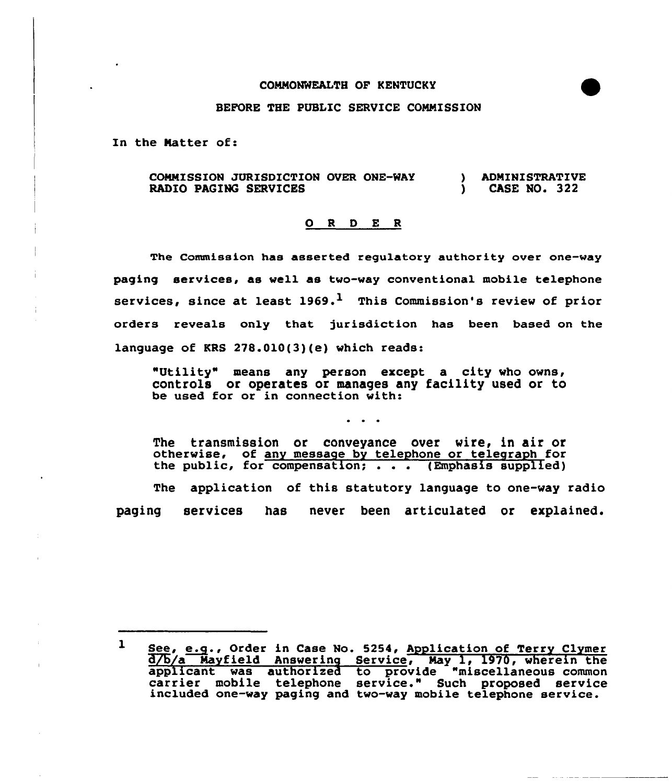## COMMONWEALTH OF KENTUCKY

## BEFORE THE PUBLIC SERVICE COMMISSION

In the Matter of:

COMMISSION JURISDICTION OVER ONE-WAY RADIO PAGING SERVICES ) ADMINISTRATIVE<br>1 CASE NO. 322 ) CASE NO. 322

## 0 <sup>R</sup> <sup>D</sup> E <sup>R</sup>

The Commission has asserted regulatory authority over one-way paging services, as well as two-way conventional mobile telephone services, since at least  $1969.$ <sup>1</sup> This Commission's review of prior orders reveals only that jurisdiction has been based on the language of KRS 278.010(3)(e) which reads:

"Utility" means any person except a city who owns, controls or operates or manages any facility used or to be used for or in connection with:

The transmission or conveyance over wire, in air or otherwise, of any message by telephone or telegraph for<br>the public, for compensation; . . . (Emphasis supplied) The application of this statutory language to one-way radio paging services has never been articulated or explained.

 $1$  See, e.g., Order in Case No. 5254, Application of Terry Clymer d/b/a Mayfield Answering Service, May 1, 1970, wherein the applicant was authorized to provide "miscellaneous common carrier mobile telephone service." Such proposed service<br>included one-way paging and two-way mobile telephone service.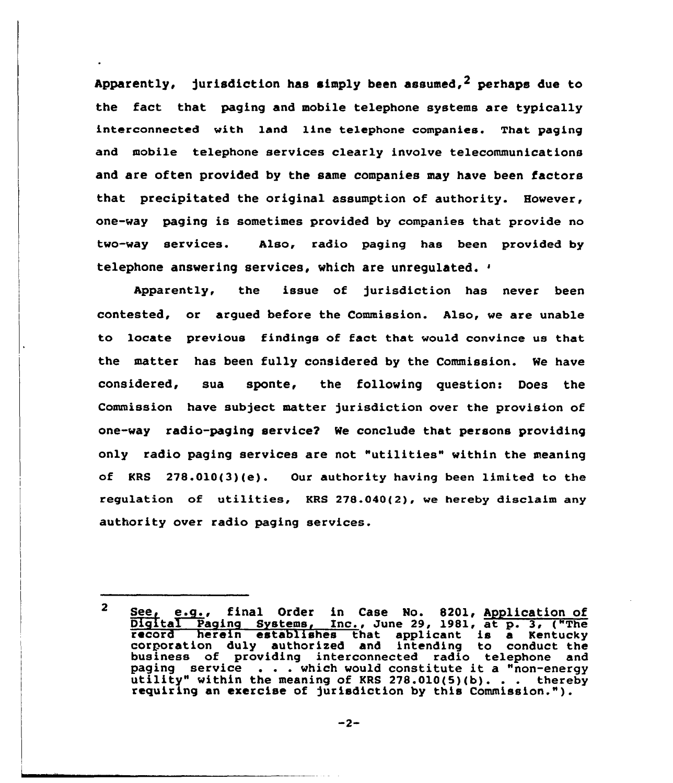Apparently, jurisdiction has simply been assumed,<sup>2</sup> perhaps due to the fact that paging and mobile telephone systems are typically interconnected with land line telephone companies. That paging and mobile telephone services clearly involve telecommunications and are often provided by the same companies may have been factors that precipitated the original assumption of authority. However, one-way paging is sometimes provided by companies that provide no two-way services. Also, radio paging has been provided by telephone answering services, which are unregulated.

Apparently, the issue of jurisdiction has never been contested, or argued before the Commission. Also, we are unable to locate previous findings of fact that would convince us that the matter has been fully considered by the Commission. We have considered, sua sponte, the following question: Does the Commission have subject matter jurisdiction over the provision of one-way radio-paging service? We conclude that persons providing only radio paging services are not "utilities" within the meaning of KRS 278.010(3)(e). Our authority having been limited to the regulation of utilities, KRS 278.040(2), we hereby disclaim any authority over radio paging services.

See<sub>f</sub> e.g., final Order in Case No. 8201, Application of  $\mathbf{2}$ Digital Paging Systems, Inc., June 29, 1981, at p. 3, ("The<br>record herein establishes that applicant is a Kentucky<br>corporation duly authorized and intending to conduct the<br>business of providing interconnected radio telepho business of providing interconnected radio telephone an<br>paging service . . . which would constitute it a "non-energ<br>utility" within the meaning of KRS 278.010(5)(b). . . thereb utility" within the meaning of KRS 278.010(5)(b).... thereby<br>requiring an exercise of jurisdiction by this Commission.").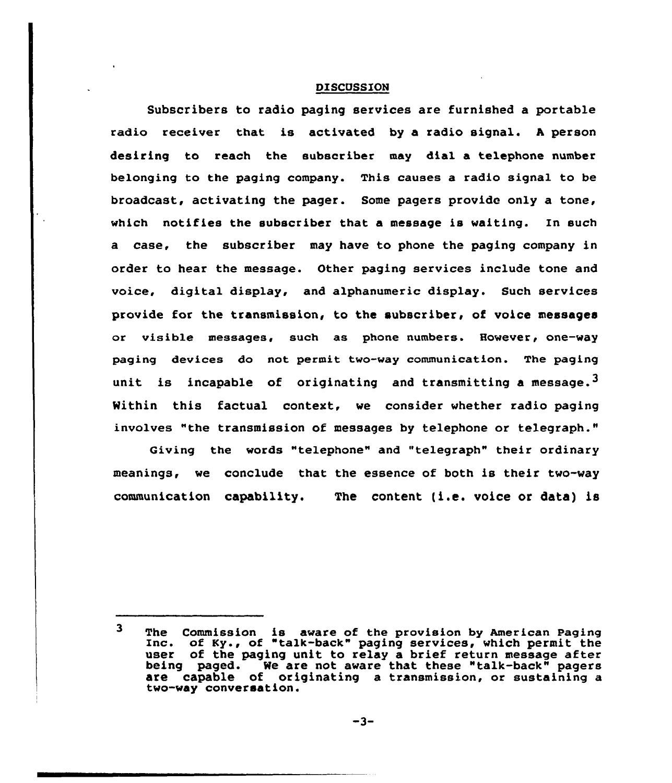## DISCUSSION

Subscribers to radio paging services are furnished a portable radio receiver that is activated by a radio signal. <sup>A</sup> person desiring to reach the subscriber may dial a telephone number belonging to the paging company. This causes a radio signal to be broadcast, activating the pager. Some pagers provide only a tone, which notifies the subscriber that a message is waiting. In such a case, the subscriber may have to phone the paging company in order to hear the message. Other paging services include tone and voice, digital display, and alphanumeric display. Such services provide for the transmission, to the subscriber, of voice messages or visible messages, such as phone-numbers. However, one-way paging devices do not permit two-way communication. The paging unit is incapable of originating and transmitting a message.<sup>3</sup> Within this factual context, we consider whether radio paging involves "the transmission of messages by telephone or telegraph."

Giving the words "telephone" and "telegraph" their ordinary meanings, we conclude that the essence of both is their two-way communication capability. The content (i.e. voice or data) is

 $\overline{\mathbf{3}}$ The Commission is aware of the provision by American Paging Inc. of Ky., of "talk-back" paging services, which permit the user of the paging unit to relay a brief return message after being paged. We are not aware that these "talk-back" pagers are capable of originating a transmission, or sustaining a two-way conversation.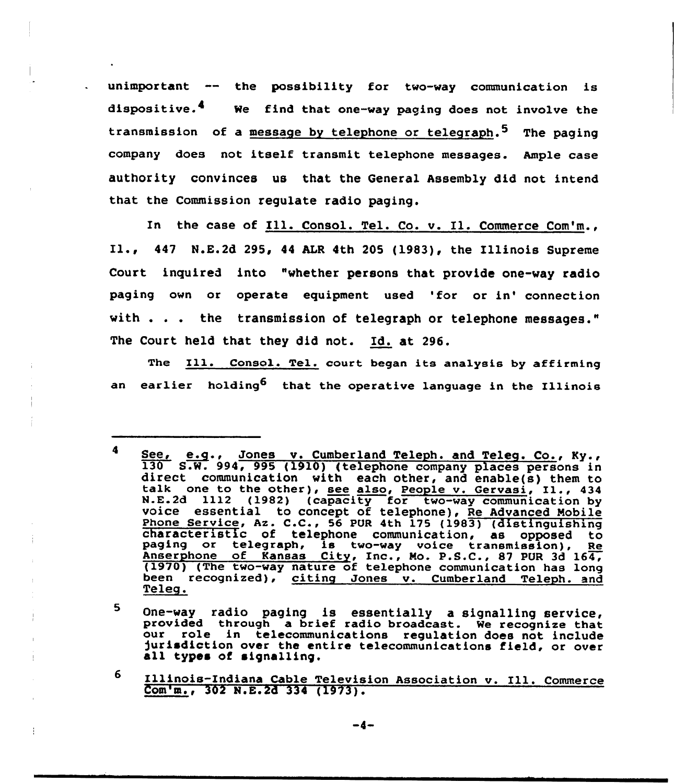unimportant -- the possibility for two-way communication is dispositive.<sup>4</sup> We find that one-way paging does not involve the transmission of a message by telephone or telegraph.<sup>5</sup> The paging company does not itself transmit telephone messages. Ample case authority convinces us that the General Assembly did not intend that the Commission regulate radio paging.

In the case of Ill. Consol. Tel. Co. v. Il. Commerce Com'm., Il., <sup>447</sup> N.E.2d 295, <sup>44</sup> ALR 4th <sup>205</sup> (1983), the Illinois Supreme Court inquired into "whether persons that provide one-way radio paging own or operate equipment used 'for or in'onnection with . . . the transmission of telegraph or telephone messages." The Court held that they did not. Id. at 296.

The Ill. Consol. Tel. court began its analysis by affirming an earlier holding<sup>6</sup> that the operative language in the Illinois

5 One-way radio paging is essentially a signalling service,<br>provided through a brief radio broadcast. We recognize that<br>our role in telecommunications regulation does not include jurisdiction over the entire telecommunications field, or over all types of signalling.

6 Illinois-Indiana Cable Television Association v. Ill. Commerce Com'm., 302 N.E.2d 334 (1973).

<sup>4</sup> See, e.g., Jones v. Cumberland Teleph. and Teleg. Co., Ky., 130 S.W. 994, 995 (1910) (telephone company places persons in direct communication with each other, and enable(s) them to talk one to the other), <u>see also</u>, <u>Peo</u> characteristic of telephone communication, as opposed to paging or telegraph, is two-way voice transmission), Re Anserphone of Kansas City, Inc., Mo. P.S.C., 87 PUR 3d 164, (1970) (The two-way nature of telephone communication has long been recognized), citing Jones v. Cumberland Teleph. and Teleg.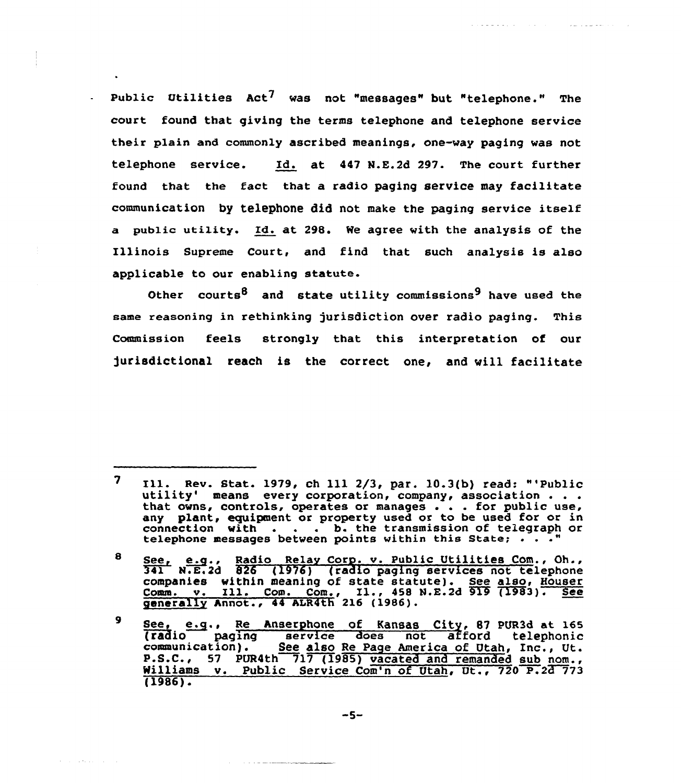Public Utilities  $Act^7$  was not "messages" but "telephone." The court found that giving the terms telephone and telephone service their plain and commonly ascribed meanings, one-way paging was not telephone service. Id. at 447 N.E.2d 297. The court further found that the fact that a radio paging service may facilitate communication by telephone did not make the paging service itself a public utility. Id. at 298. We agree with the analysis of the Illinois Supreme Court, and find that such analysis is also applicable to our enabling statute.

and decision and contract the contract of the state of the state of the state of the state of the state of the

Other courts<sup>8</sup> and state utility commissions<sup>9</sup> have used the same reasoning in rethinking jurisdiction over radio paging. This Commission feels strongly that this interpretation of our jurisdictional reach is the correct one, and vill facilitate

 $\mathcal{A}$  . The signal properties of  $\mathcal{A}$ 

 $\overline{\mathbf{z}}$ Ill. Rev. Stat. 1979, ch 111 2/3, par. 10.3(b) read: "'Public utility' means every corporation, company, association... utility' means every corporation, company, association . .<br>that owns, controls, operates or manages . . . for public use any plant, equipment or property used or to be used for or in any plant, equipment or property used or to be used for or in<br>connection with . . . . b. the transmission of telegraph or telephone messages between points within this State;

estephone messages between points within this state; . . .<br>See, e.g., Radio Relay Corp. v. Public Utilities Com., Oh.,<br>341 N.E.2d 826 (1976) (radio paging services not telephone 8 companies within meaning of state statute). See also, Houser<br>Comm. v. Ill. Com., Com., Il., 458 N.E.2d 919 (1983). See generally Annot., 44 ALR4th' 216 (1986).

See, e.g., Re Anserphone of Kansas City, 87 PUR3d at 165  $\mathbf{9}$ (radio paging service does not afford telephoni communication). See also Re Page America of Utah, Inc., Ut.<br>P.S.C., 57 PUR4th 717 (1985) vacated and remanded sub nom., Williams v. Public Service Com'n of Utah, Ut., 720 P.23 773 (1986)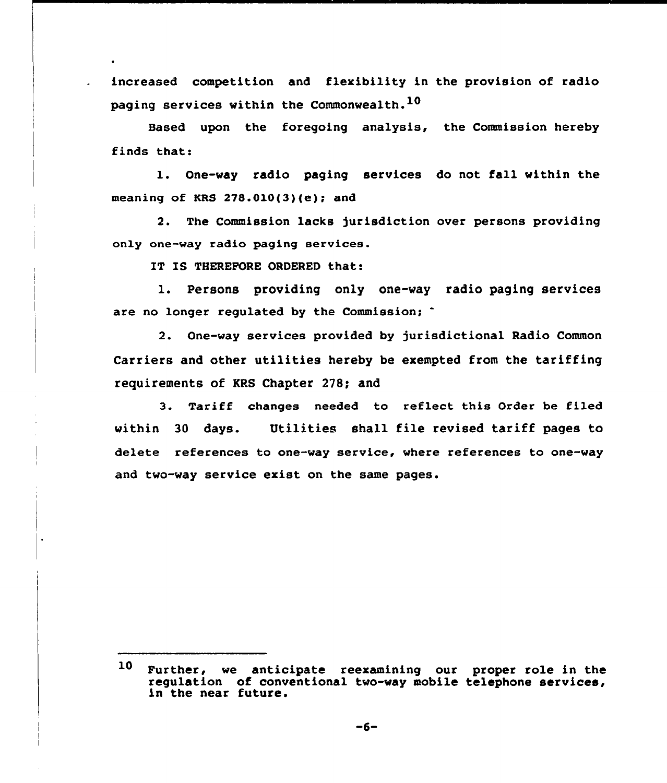increased competition and flexibility in the provision of radio paging services within the Commonwealth.<sup>10</sup>

Based upon the foregoing analysis, the Commission hereby finds that:

l. One-way radio paging services do not fall within the meaning of KRS  $278.010(3)(e)$ ; and

2. The Commission lacks jurisdiction over persons providing only one-way radio paging aervices.

IT I5 THEREFORE ORDERED that:

1. Persons providing only one-way radio paging services are no longer regulated by the Commission;

2. One-way services provided by jurisdictional Radio Common Carriers and other utilities hereby be exempted from the tariffing requirements of KRS Chapter 278; and

3. Tariff changes needed to reflect this Order be filed within 30 days. Utilities shall file revised tariff pages to delete references to one-way service, where references to one-way and two-way service exist on the same pages.

<sup>10</sup> Further, we anticipate reexamining our proper role in the regulation of conventional two-way mobile telephone services, in the near future.